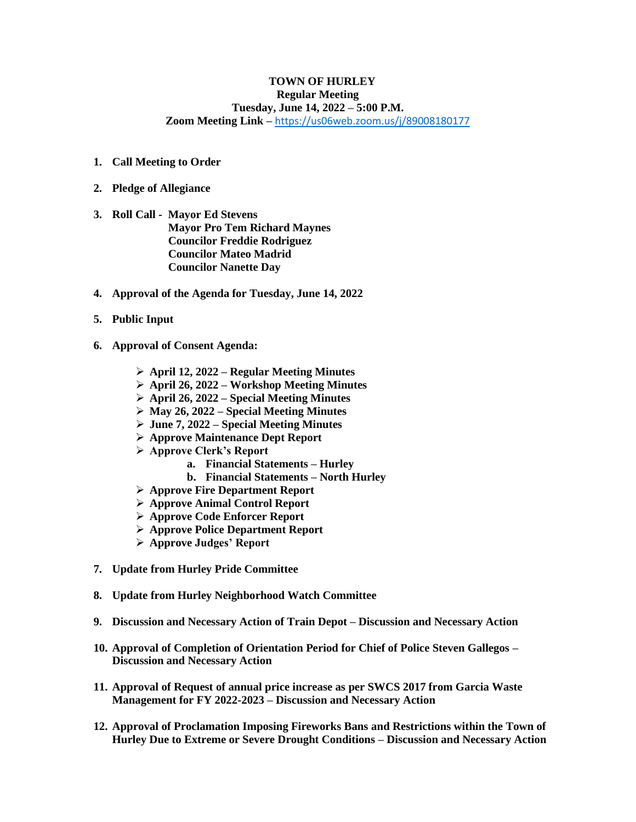## **TOWN OF HURLEY Regular Meeting Tuesday, June 14, 2022 – 5:00 P.M. Zoom Meeting Link –** <https://us06web.zoom.us/j/89008180177>

- **1. Call Meeting to Order**
- **2. Pledge of Allegiance**
- **3. Roll Call - Mayor Ed Stevens Mayor Pro Tem Richard Maynes Councilor Freddie Rodriguez Councilor Mateo Madrid Councilor Nanette Day**
- **4. Approval of the Agenda for Tuesday, June 14, 2022**
- **5. Public Input**
- **6. Approval of Consent Agenda:** 
	- ➢ **April 12, 2022 – Regular Meeting Minutes**
	- ➢ **April 26, 2022 – Workshop Meeting Minutes**
	- ➢ **April 26, 2022 – Special Meeting Minutes**
	- ➢ **May 26, 2022 – Special Meeting Minutes**
	- ➢ **June 7, 2022 – Special Meeting Minutes**
	- ➢ **Approve Maintenance Dept Report**
	- ➢ **Approve Clerk's Report**
		- **a. Financial Statements – Hurley**
		- **b. Financial Statements – North Hurley**
	- ➢ **Approve Fire Department Report**
	- ➢ **Approve Animal Control Report**
	- ➢ **Approve Code Enforcer Report**
	- ➢ **Approve Police Department Report**
	- ➢ **Approve Judges' Report**
- **7. Update from Hurley Pride Committee**
- **8. Update from Hurley Neighborhood Watch Committee**
- **9. Discussion and Necessary Action of Train Depot – Discussion and Necessary Action**
- **10. Approval of Completion of Orientation Period for Chief of Police Steven Gallegos – Discussion and Necessary Action**
- **11. Approval of Request of annual price increase as per SWCS 2017 from Garcia Waste Management for FY 2022-2023 – Discussion and Necessary Action**
- **12. Approval of Proclamation Imposing Fireworks Bans and Restrictions within the Town of Hurley Due to Extreme or Severe Drought Conditions – Discussion and Necessary Action**